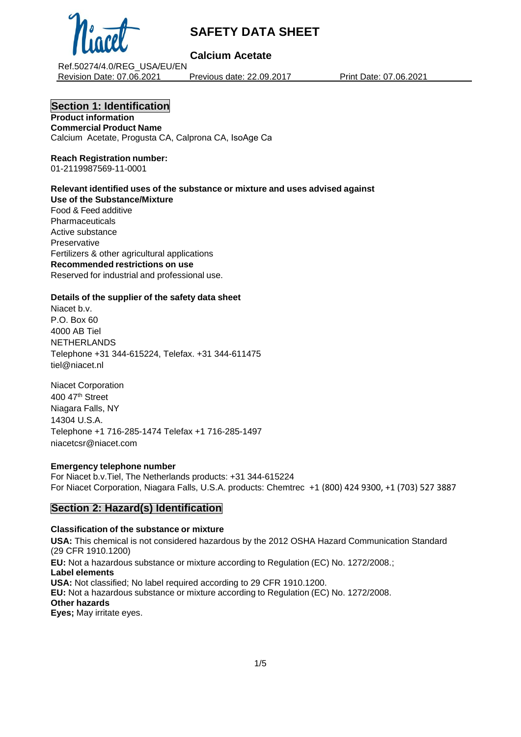

## **Calcium Acetate**

Ref.50274/4.0/REG\_USA/EU/EN Revision Date: 07.06.2021 Previous date: 22.09.2017 Print Date: 07.06.2021

## **Section 1: Identification**

**Product information Commercial Product Name** Calcium Acetate, Progusta CA, Calprona CA, IsoAge Ca

#### **Reach Registration number:** 01-2119987569-11-0001

#### **Relevant identified uses of the substance or mixture and uses advised against Use of the Substance/Mixture** Food & Feed additive

Pharmaceuticals Active substance **Preservative** Fertilizers & other agricultural applications **Recommended restrictions on use** Reserved for industrial and professional use.

### **Details of the supplier of the safety data sheet**

Niacet b.v. P.O. Box 60 4000 AB Tiel NETHERLANDS Telephone +31 344-615224, Telefax. +31 344-611475 tiel@niacet.nl

Niacet Corporation 400 47th Street Niagara Falls, NY 14304 U.S.A. Telephone +1 716-285-1474 Telefax +1 716-285-1497 [niacetcsr@niacet.com](mailto:niacetcsr@niacet.com) 

#### **Emergency telephone number**

For Niacet b.v.Tiel, The Netherlands products: +31 344-615224 For Niacet Corporation, Niagara Falls, U.S.A. products: Chemtrec +1 (800) 424 9300, +1 (703) 527 3887

## **Section 2: Hazard(s) Identification**

#### **Classification of the substance or mixture**

**USA:** This chemical is not considered hazardous by the 2012 OSHA Hazard Communication Standard (29 CFR 1910.1200)

**EU:** Not a hazardous substance or mixture according to Regulation (EC) No. 1272/2008.; **Label elements USA:** Not classified; No label required according to 29 CFR 1910.1200. **EU:** Not a hazardous substance or mixture according to Regulation (EC) No. 1272/2008. **Other hazards Eyes;** May irritate eyes.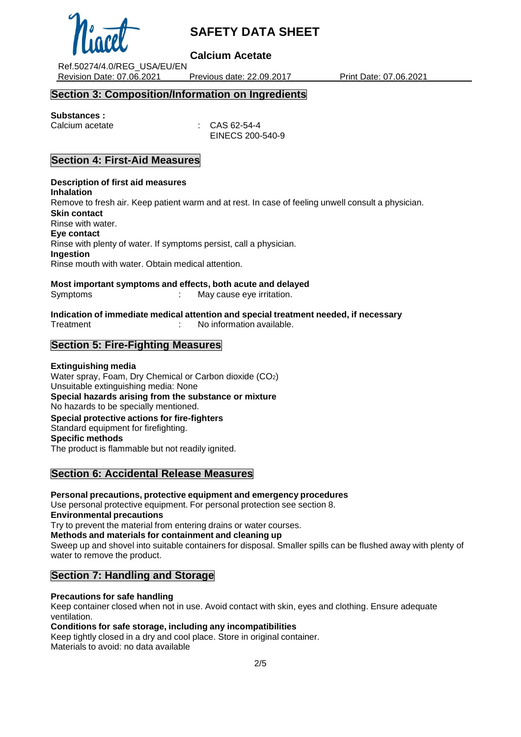

## **Calcium Acetate**

Ref.50274/4.0/REG\_USA/EU/EN Revision Date: 07.06.2021 Previous date: 22.09.2017 Print Date: 07.06.2021

## **Section 3: Composition/Information on Ingredients**

## **Substances :**

Calcium acetate : CAS 62-54-4 EINECS 200-540-9

## **Section 4: First-Aid Measures**

**Description of first aid measures Inhalation** Remove to fresh air. Keep patient warm and at rest. In case of feeling unwell consult a physician. **Skin contact** Rinse with water. **Eye contact** Rinse with plenty of water. If symptoms persist, call a physician. **Ingestion** Rinse mouth with water. Obtain medical attention.

**Most important symptoms and effects, both acute and delayed** Symptoms : May cause eve irritation.

**Indication of immediate medical attention and special treatment needed, if necessary** Treatment : No information available.

## **Section 5: Fire-Fighting Measures**

### **Extinguishing media**

Water spray, Foam, Dry Chemical or Carbon dioxide (CO2) Unsuitable extinguishing media: None **Special hazards arising from the substance or mixture** No hazards to be specially mentioned. **Special protective actions for fire-fighters** Standard equipment for firefighting. **Specific methods** The product is flammable but not readily ignited.

## **Section 6: Accidental Release Measures**

**Personal precautions, protective equipment and emergency procedures** Use personal protective equipment. For personal protection see section 8. **Environmental precautions** Try to prevent the material from entering drains or water courses. **Methods and materials for containment and cleaning up** Sweep up and shovel into suitable containers for disposal. Smaller spills can be flushed away with plenty of water to remove the product.

#### **Section 7: Handling and Storage**

#### **Precautions for safe handling**

Keep container closed when not in use. Avoid contact with skin, eyes and clothing. Ensure adequate ventilation.

#### **Conditions for safe storage, including any incompatibilities**

Keep tightly closed in a dry and cool place. Store in original container. Materials to avoid: no data available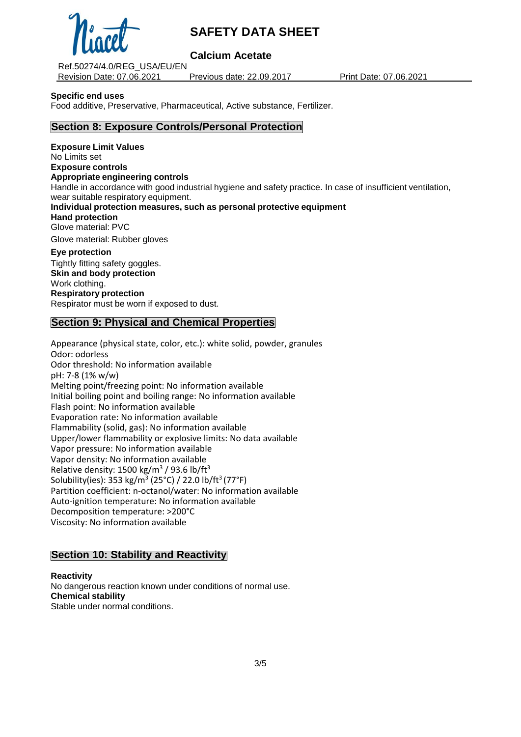

**Calcium Acetate**

Ref.50274/4.0/REG\_USA/EU/EN Revision Date: 07.06.2021 Previous date: 22.09.2017 Print Date: 07.06.2021

**Specific end uses**

Food additive, Preservative, Pharmaceutical, Active substance, Fertilizer.

## **Section 8: Exposure Controls/Personal Protection**

**Exposure Limit Values** No Limits set **Exposure controls Appropriate engineering controls** Handle in accordance with good industrial hygiene and safety practice. In case of insufficient ventilation, wear suitable respiratory equipment. **Individual protection measures, such as personal protective equipment Hand protection** Glove material: PVC Glove material: Rubber gloves **Eye protection** Tightly fitting safety goggles. **Skin and body protection**

Work clothing. **Respiratory protection** Respirator must be worn if exposed to dust.

## **Section 9: Physical and Chemical Properties**

Appearance (physical state, color, etc.): white solid, powder, granules Odor: odorless Odor threshold: No information available pH: 7-8 (1% w/w) Melting point/freezing point: No information available Initial boiling point and boiling range: No information available Flash point: No information available Evaporation rate: No information available Flammability (solid, gas): No information available Upper/lower flammability or explosive limits: No data available Vapor pressure: No information available Vapor density: No information available Relative density:  $1500 \text{ kg/m}^3$  / 93.6 lb/ft<sup>3</sup> Solubility(ies): 353 kg/m<sup>3</sup> (25°C) / 22.0 lb/ft<sup>3</sup> (77°F) Partition coefficient: n-octanol/water: No information available Auto-ignition temperature: No information available Decomposition temperature: >200°C Viscosity: No information available

## **Section 10: Stability and Reactivity**

**Reactivity**

No dangerous reaction known under conditions of normal use. **Chemical stability** Stable under normal conditions.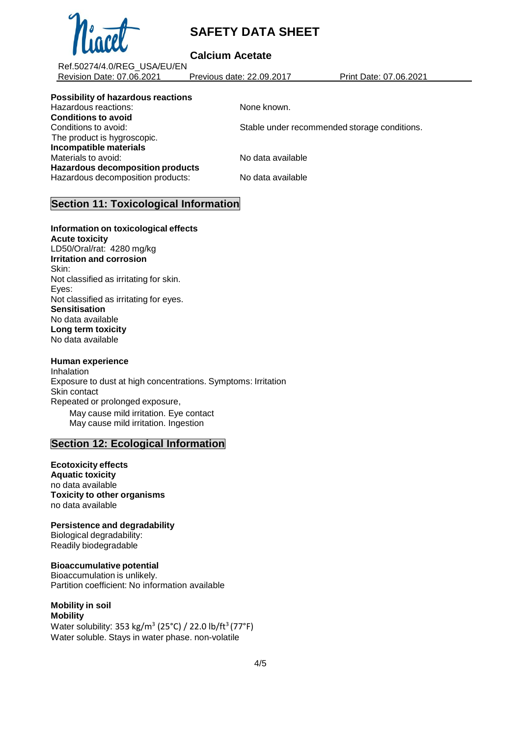

## **Calcium Acetate**

Ref.50274/4.0/REG\_USA/EU/EN Revision Date: 07.06.2021 Previous date: 22.09.2017 Print Date: 07.06.2021

## **Possibility of hazardous reactions**

Hazardous reactions: None known. **Conditions to avoid** Conditions to avoid: Stable under recommended storage conditions. The product is hygroscopic. **Incompatible materials** Materials to avoid: No data available **Hazardous decomposition products** Hazardous decomposition products: No data available

## **Section 11: Toxicological Information**

**Information on toxicological effects Acute toxicity**

LD50/Oral/rat: 4280 mg/kg **Irritation and corrosion** Skin: Not classified as irritating for skin. Eyes: Not classified as irritating for eyes. **Sensitisation** No data available **Long term toxicity** No data available

#### **Human experience**

Inhalation Exposure to dust at high concentrations. Symptoms: Irritation Skin contact Repeated or prolonged exposure, May cause mild irritation. Eye contact May cause mild irritation. Ingestion

## **Section 12: Ecological Information**

**Ecotoxicity effects Aquatic toxicity** no data available **Toxicity to other organisms** no data available

**Persistence and degradability** Biological degradability: Readily biodegradable

**Bioaccumulative potential** Bioaccumulation is unlikely. Partition coefficient: No information available

#### **Mobility in soil Mobility**

Water solubility: 353 kg/m $^3$  (25°C) / 22.0 lb/ft $^3$ (77°F) Water soluble. Stays in water phase. non-volatile